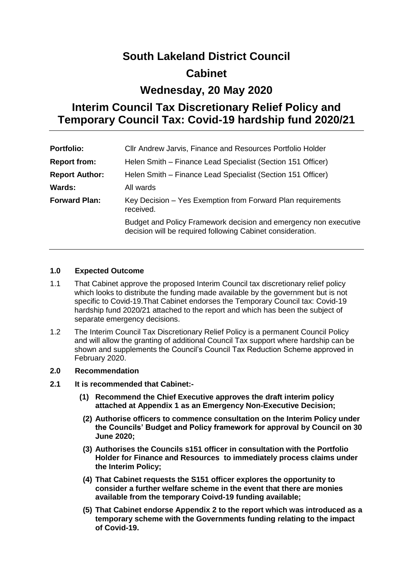# **South Lakeland District Council Cabinet**

# **Wednesday, 20 May 2020**

# **Interim Council Tax Discretionary Relief Policy and Temporary Council Tax: Covid-19 hardship fund 2020/21**

| <b>Portfolio:</b>     | Cllr Andrew Jarvis, Finance and Resources Portfolio Holder                                                                     |
|-----------------------|--------------------------------------------------------------------------------------------------------------------------------|
| <b>Report from:</b>   | Helen Smith – Finance Lead Specialist (Section 151 Officer)                                                                    |
| <b>Report Author:</b> | Helen Smith - Finance Lead Specialist (Section 151 Officer)                                                                    |
| <b>Wards:</b>         | All wards                                                                                                                      |
| <b>Forward Plan:</b>  | Key Decision – Yes Exemption from Forward Plan requirements<br>received.                                                       |
|                       | Budget and Policy Framework decision and emergency non executive<br>decision will be required following Cabinet consideration. |

## **1.0 Expected Outcome**

- 1.1 That Cabinet approve the proposed Interim Council tax discretionary relief policy which looks to distribute the funding made available by the government but is not specific to Covid-19.That Cabinet endorses the Temporary Council tax: Covid-19 hardship fund 2020/21 attached to the report and which has been the subject of separate emergency decisions.
- 1.2 The Interim Council Tax Discretionary Relief Policy is a permanent Council Policy and will allow the granting of additional Council Tax support where hardship can be shown and supplements the Council's Council Tax Reduction Scheme approved in February 2020.

# **2.0 Recommendation**

### **2.1 It is recommended that Cabinet:-**

- **(1) Recommend the Chief Executive approves the draft interim policy attached at Appendix 1 as an Emergency Non-Executive Decision;**
- **(2) Authorise officers to commence consultation on the Interim Policy under the Councils' Budget and Policy framework for approval by Council on 30 June 2020;**
- **(3) Authorises the Councils s151 officer in consultation with the Portfolio Holder for Finance and Resources to immediately process claims under the Interim Policy;**
- **(4) That Cabinet requests the S151 officer explores the opportunity to consider a further welfare scheme in the event that there are monies available from the temporary Coivd-19 funding available;**
- **(5) That Cabinet endorse Appendix 2 to the report which was introduced as a temporary scheme with the Governments funding relating to the impact of Covid-19.**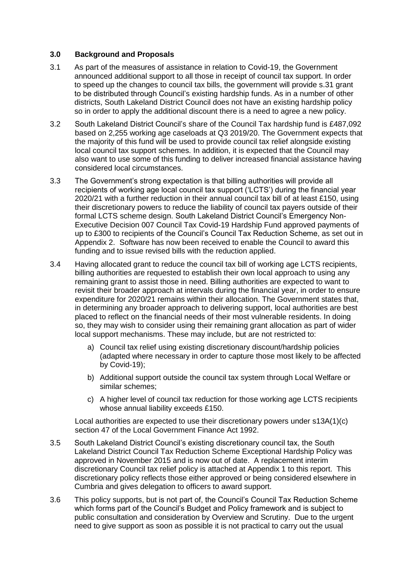### **3.0 Background and Proposals**

- 3.1 As part of the measures of assistance in relation to Covid-19, the Government announced additional support to all those in receipt of council tax support. In order to speed up the changes to council tax bills, the government will provide s.31 grant to be distributed through Council's existing hardship funds. As in a number of other districts, South Lakeland District Council does not have an existing hardship policy so in order to apply the additional discount there is a need to agree a new policy.
- 3.2 South Lakeland District Council's share of the Council Tax hardship fund is £487,092 based on 2,255 working age caseloads at Q3 2019/20. The Government expects that the majority of this fund will be used to provide council tax relief alongside existing local council tax support schemes. In addition, it is expected that the Council may also want to use some of this funding to deliver increased financial assistance having considered local circumstances.
- 3.3 The Government's strong expectation is that billing authorities will provide all recipients of working age local council tax support ('LCTS') during the financial year 2020/21 with a further reduction in their annual council tax bill of at least £150, using their discretionary powers to reduce the liability of council tax payers outside of their formal LCTS scheme design. South Lakeland District Council's Emergency Non-Executive Decision 007 Council Tax Covid-19 Hardship Fund approved payments of up to £300 to recipients of the Council's Council Tax Reduction Scheme, as set out in Appendix 2. Software has now been received to enable the Council to award this funding and to issue revised bills with the reduction applied.
- 3.4 Having allocated grant to reduce the council tax bill of working age LCTS recipients, billing authorities are requested to establish their own local approach to using any remaining grant to assist those in need. Billing authorities are expected to want to revisit their broader approach at intervals during the financial year, in order to ensure expenditure for 2020/21 remains within their allocation. The Government states that, in determining any broader approach to delivering support, local authorities are best placed to reflect on the financial needs of their most vulnerable residents. In doing so, they may wish to consider using their remaining grant allocation as part of wider local support mechanisms. These may include, but are not restricted to:
	- a) Council tax relief using existing discretionary discount/hardship policies (adapted where necessary in order to capture those most likely to be affected by Covid-19);
	- b) Additional support outside the council tax system through Local Welfare or similar schemes;
	- c) A higher level of council tax reduction for those working age LCTS recipients whose annual liability exceeds £150.

Local authorities are expected to use their discretionary powers under s13A(1)(c) section 47 of the Local Government Finance Act 1992.

- 3.5 South Lakeland District Council's existing discretionary council tax, the South Lakeland District Council Tax Reduction Scheme Exceptional Hardship Policy was approved in November 2015 and is now out of date. A replacement interim discretionary Council tax relief policy is attached at Appendix 1 to this report. This discretionary policy reflects those either approved or being considered elsewhere in Cumbria and gives delegation to officers to award support.
- 3.6 This policy supports, but is not part of, the Council's Council Tax Reduction Scheme which forms part of the Council's Budget and Policy framework and is subject to public consultation and consideration by Overview and Scrutiny. Due to the urgent need to give support as soon as possible it is not practical to carry out the usual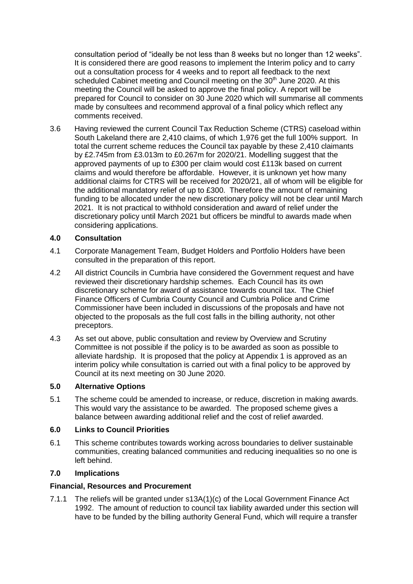consultation period of "ideally be not less than 8 weeks but no longer than 12 weeks". It is considered there are good reasons to implement the Interim policy and to carry out a consultation process for 4 weeks and to report all feedback to the next scheduled Cabinet meeting and Council meeting on the 30<sup>th</sup> June 2020. At this meeting the Council will be asked to approve the final policy. A report will be prepared for Council to consider on 30 June 2020 which will summarise all comments made by consultees and recommend approval of a final policy which reflect any comments received.

3.6 Having reviewed the current Council Tax Reduction Scheme (CTRS) caseload within South Lakeland there are 2,410 claims, of which 1,976 get the full 100% support. In total the current scheme reduces the Council tax payable by these 2,410 claimants by £2.745m from £3.013m to £0.267m for 2020/21. Modelling suggest that the approved payments of up to £300 per claim would cost £113k based on current claims and would therefore be affordable. However, it is unknown yet how many additional claims for CTRS will be received for 2020/21, all of whom will be eligible for the additional mandatory relief of up to £300. Therefore the amount of remaining funding to be allocated under the new discretionary policy will not be clear until March 2021. It is not practical to withhold consideration and award of relief under the discretionary policy until March 2021 but officers be mindful to awards made when considering applications.

## **4.0 Consultation**

- 4.1 Corporate Management Team, Budget Holders and Portfolio Holders have been consulted in the preparation of this report.
- 4.2 All district Councils in Cumbria have considered the Government request and have reviewed their discretionary hardship schemes. Each Council has its own discretionary scheme for award of assistance towards council tax. The Chief Finance Officers of Cumbria County Council and Cumbria Police and Crime Commissioner have been included in discussions of the proposals and have not objected to the proposals as the full cost falls in the billing authority, not other preceptors.
- 4.3 As set out above, public consultation and review by Overview and Scrutiny Committee is not possible if the policy is to be awarded as soon as possible to alleviate hardship. It is proposed that the policy at Appendix 1 is approved as an interim policy while consultation is carried out with a final policy to be approved by Council at its next meeting on 30 June 2020.

### **5.0 Alternative Options**

5.1 The scheme could be amended to increase, or reduce, discretion in making awards. This would vary the assistance to be awarded. The proposed scheme gives a balance between awarding additional relief and the cost of relief awarded.

### **6.0 Links to Council Priorities**

6.1 This scheme contributes towards working across boundaries to deliver sustainable communities, creating balanced communities and reducing inequalities so no one is left behind.

# **7.0 Implications**

### **Financial, Resources and Procurement**

7.1.1 The reliefs will be granted under s13A(1)(c) of the Local Government Finance Act 1992. The amount of reduction to council tax liability awarded under this section will have to be funded by the billing authority General Fund, which will require a transfer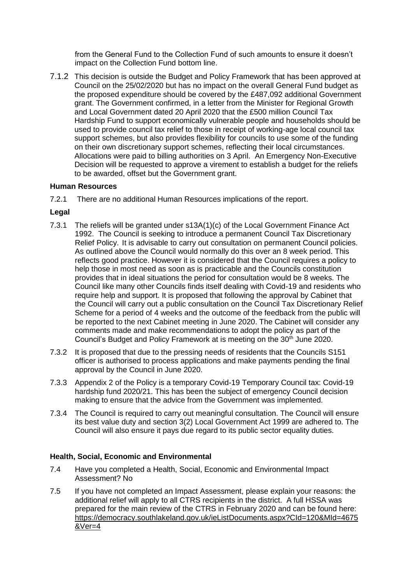from the General Fund to the Collection Fund of such amounts to ensure it doesn't impact on the Collection Fund bottom line.

7.1.2 This decision is outside the Budget and Policy Framework that has been approved at Council on the 25/02/2020 but has no impact on the overall General Fund budget as the proposed expenditure should be covered by the £487,092 additional Government grant. The Government confirmed, in a letter from the Minister for Regional Growth and Local Government dated 20 April 2020 that the £500 million Council Tax Hardship Fund to support economically vulnerable people and households should be used to provide council tax relief to those in receipt of working-age local council tax support schemes, but also provides flexibility for councils to use some of the funding on their own discretionary support schemes, reflecting their local circumstances. Allocations were paid to billing authorities on 3 April. An Emergency Non-Executive Decision will be requested to approve a virement to establish a budget for the reliefs to be awarded, offset but the Government grant.

### **Human Resources**

7.2.1 There are no additional Human Resources implications of the report.

### **Legal**

- 7.3.1 The reliefs will be granted under s13A(1)(c) of the Local Government Finance Act 1992. The Council is seeking to introduce a permanent Council Tax Discretionary Relief Policy. It is advisable to carry out consultation on permanent Council policies. As outlined above the Council would normally do this over an 8 week period. This reflects good practice. However it is considered that the Council requires a policy to help those in most need as soon as is practicable and the Councils constitution provides that in ideal situations the period for consultation would be 8 weeks. The Council like many other Councils finds itself dealing with Covid-19 and residents who require help and support. It is proposed that following the approval by Cabinet that the Council will carry out a public consultation on the Council Tax Discretionary Relief Scheme for a period of 4 weeks and the outcome of the feedback from the public will be reported to the next Cabinet meeting in June 2020. The Cabinet will consider any comments made and make recommendations to adopt the policy as part of the Council's Budget and Policy Framework at is meeting on the 30<sup>th</sup> June 2020.
- 7.3.2 It is proposed that due to the pressing needs of residents that the Councils S151 officer is authorised to process applications and make payments pending the final approval by the Council in June 2020.
- 7.3.3 Appendix 2 of the Policy is a temporary Covid-19 Temporary Council tax: Covid-19 hardship fund 2020/21. This has been the subject of emergency Council decision making to ensure that the advice from the Government was implemented.
- 7.3.4 The Council is required to carry out meaningful consultation. The Council will ensure its best value duty and section 3(2) Local Government Act 1999 are adhered to. The Council will also ensure it pays due regard to its public sector equality duties.

### **Health, Social, Economic and Environmental**

- 7.4 Have you completed a Health, Social, Economic and Environmental Impact Assessment? No
- 7.5 If you have not completed an Impact Assessment, please explain your reasons: the additional relief will apply to all CTRS recipients in the district. A full HSSA was prepared for the main review of the CTRS in February 2020 and can be found here: [https://democracy.southlakeland.gov.uk/ieListDocuments.aspx?CId=120&MId=4675](https://democracy.southlakeland.gov.uk/ieListDocuments.aspx?CId=120&MId=4675&Ver=4) [&Ver=4](https://democracy.southlakeland.gov.uk/ieListDocuments.aspx?CId=120&MId=4675&Ver=4)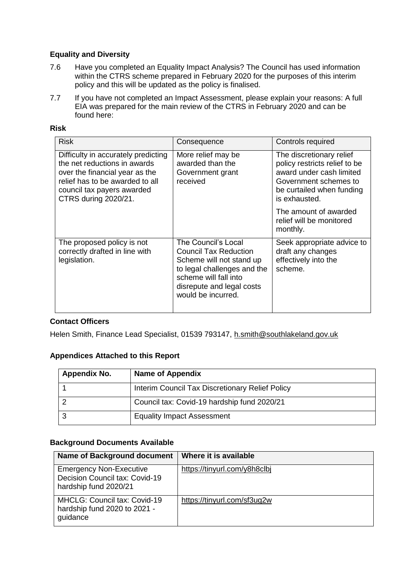# **Equality and Diversity**

- 7.6 Have you completed an Equality Impact Analysis? The Council has used information within the CTRS scheme prepared in February 2020 for the purposes of this interim policy and this will be updated as the policy is finalised.
- 7.7 If you have not completed an Impact Assessment, please explain your reasons: A full EIA was prepared for the main review of the CTRS in February 2020 and can be found here:

| ×<br>٠<br>۰. |
|--------------|
|--------------|

| <b>Risk</b>                                                                                                                                                                                    | Consequence                                                                                                                                                                         | Controls required                                                                                                                                            |
|------------------------------------------------------------------------------------------------------------------------------------------------------------------------------------------------|-------------------------------------------------------------------------------------------------------------------------------------------------------------------------------------|--------------------------------------------------------------------------------------------------------------------------------------------------------------|
| Difficulty in accurately predicting<br>the net reductions in awards<br>over the financial year as the<br>relief has to be awarded to all<br>council tax payers awarded<br>CTRS during 2020/21. | More relief may be<br>awarded than the<br>Government grant<br>received                                                                                                              | The discretionary relief<br>policy restricts relief to be<br>award under cash limited<br>Government schemes to<br>be curtailed when funding<br>is exhausted. |
|                                                                                                                                                                                                |                                                                                                                                                                                     | The amount of awarded<br>relief will be monitored<br>monthly.                                                                                                |
| The proposed policy is not<br>correctly drafted in line with<br>legislation.                                                                                                                   | The Council's Local<br>Council Tax Reduction<br>Scheme will not stand up<br>to legal challenges and the<br>scheme will fall into<br>disrepute and legal costs<br>would be incurred. | Seek appropriate advice to<br>draft any changes<br>effectively into the<br>scheme.                                                                           |

# **Contact Officers**

Helen Smith, Finance Lead Specialist, 01539 793147, [h.smith@southlakeland.gov.uk](mailto:h.smith@southlakeland.gov.uk)

# **Appendices Attached to this Report**

| Appendix No. | <b>Name of Appendix</b>                         |
|--------------|-------------------------------------------------|
|              | Interim Council Tax Discretionary Relief Policy |
|              | Council tax: Covid-19 hardship fund 2020/21     |
|              | <b>Equality Impact Assessment</b>               |

# **Background Documents Available**

| <b>Name of Background document</b>                                                        | Where it is available        |
|-------------------------------------------------------------------------------------------|------------------------------|
| <b>Emergency Non-Executive</b><br>Decision Council tax: Covid-19<br>hardship fund 2020/21 | https://tinyurl.com/y8h8clbj |
| MHCLG: Council tax: Covid-19<br>hardship fund 2020 to 2021 -<br>guidance                  | https://tinyurl.com/sf3ug2w  |